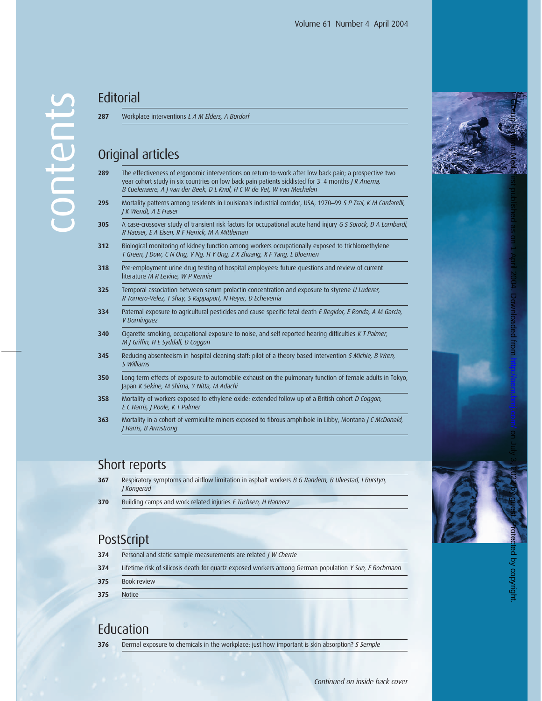**287** Workplace interventions L A M Elders, A Burdorf

## Original articles

| 289 | The effectiveness of ergonomic interventions on return-to-work after low back pain; a prospective two     |
|-----|-----------------------------------------------------------------------------------------------------------|
|     | year cohort study in six countries on low back pain patients sicklisted for 3–4 months <i>J R Anema</i> , |
|     | B Cuelenaere. A I van der Beek. D L Knol. H C W de Vet. W van Mechelen                                    |

- **295** Mortality patterns among residents in Louisiana's industrial corridor, USA, 1970\_99 S P Tsai, K M Cardarelli, J K Wendt, A E Fraser
- **305** A case-crossover study of transient risk factors for occupational acute hand injury G S Sorock, D A Lombardi, R Hauser, E A Eisen, R F Herrick, M A Mittleman
- **312** Biological monitoring of kidney function among workers occupationally exposed to trichloroethylene T Green, J Dow, C N Ong, V Ng, H Y Ong, Z X Zhuang, X F Yang, L Bloemen
- **318** Pre-employment urine drug testing of hospital employees: future questions and review of current literature M R Levine, W P Rennie
- **325** Temporal association between serum prolactin concentration and exposure to styrene *U Luderer*, R Tornero-Velez, T Shay, S Rappaport, N Heyer, D Echeverria
- **334** Paternal exposure to agricultural pesticides and cause specific fetal death E Regidor, E Ronda, A M García, V Domínguez
- **340** Cigarette smoking, occupational exposure to noise, and self reported hearing difficulties K T Palmer, M J Griffin, H E Syddall, D Coggon
- **345** Reducing absenteeism in hospital cleaning staff: pilot of a theory based intervention S Michie, B Wren, S Williams
- **350** Long term effects of exposure to automobile exhaust on the pulmonary function of female adults in Tokyo, Japan K Sekine, M Shima, Y Nitta, M Adachi
- **358** Mortality of workers exposed to ethylene oxide: extended follow up of a British cohort D Coggon, E C Harris, J Poole, K T Palmer
- **363** Mortality in a cohort of vermiculite miners exposed to fibrous amphibole in Libby, Montana J C McDonald, J Harris, B Armstrong

#### Short reports

- **367** Respiratory symptoms and airflow limitation in asphalt workers B G Randem, B Ulvestad, I Burstyn, J Kongerud
- **370** Building camps and work related injuries F Tüchsen, H Hannerz

### **PostScript**

| 374 | Personal and static sample measurements are related J W Cherrie                                       |
|-----|-------------------------------------------------------------------------------------------------------|
| 374 | Lifetime risk of silicosis death for quartz exposed workers among German population Y Sun, F Bochmann |
| 375 | Book review                                                                                           |
| 375 | <b>Notice</b>                                                                                         |

#### **Education**

**376** Dermal exposure to chemicals in the workplace: just how important is skin absorption? S Semple